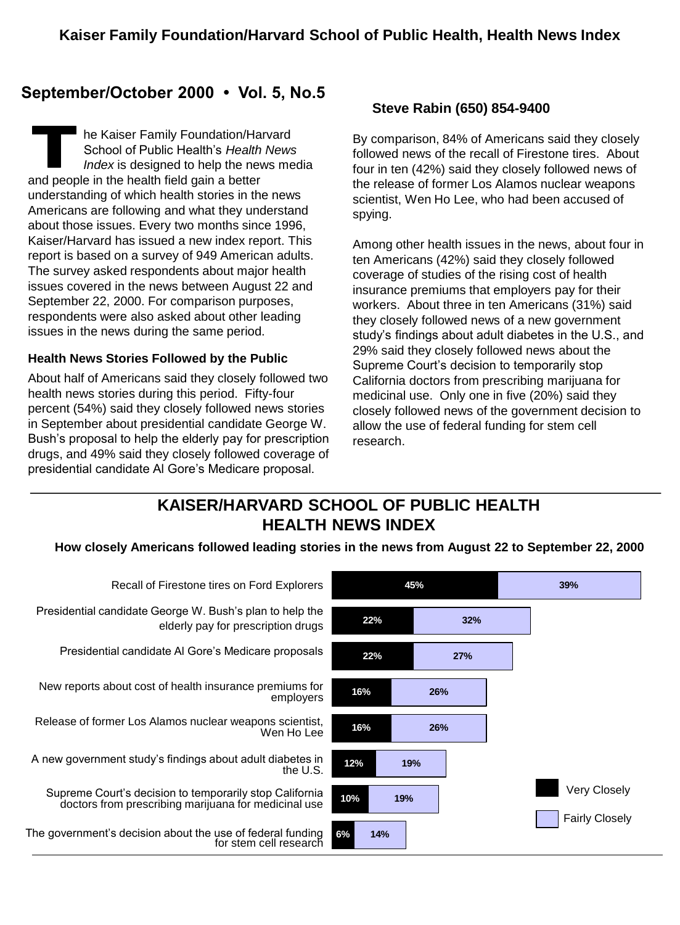# **September/October 2000 • Vol. 5, No.5**

 he Kaiser Family Foundation/Harvard School of Public Health's *Health News Index* is designed to help the news media and people in the health field gain a better understanding of which health stories in the news Americans are following and what they understand about those issues. Every two months since 1996, Kaiser/Harvard has issued a new index report. This report is based on a survey of 949 American adults. The survey asked respondents about major health issues covered in the news between August 22 and September 22, 2000. For comparison purposes, respondents were also asked about other leading issues in the news during the same period.

#### **Health News Stories Followed by the Public**

About half of Americans said they closely followed two health news stories during this period. Fifty-four percent (54%) said they closely followed news stories in September about presidential candidate George W. Bush's proposal to help the elderly pay for prescription drugs, and 49% said they closely followed coverage of presidential candidate Al Gore's Medicare proposal.

### **Steve Rabin (650) 854-9400**

By comparison, 84% of Americans said they closely followed news of the recall of Firestone tires. About four in ten (42%) said they closely followed news of the release of former Los Alamos nuclear weapons scientist, Wen Ho Lee, who had been accused of spying.

Among other health issues in the news, about four in ten Americans (42%) said they closely followed coverage of studies of the rising cost of health insurance premiums that employers pay for their workers. About three in ten Americans (31%) said they closely followed news of a new government study's findings about adult diabetes in the U.S., and 29% said they closely followed news about the Supreme Court's decision to temporarily stop California doctors from prescribing marijuana for medicinal use. Only one in five (20%) said they closely followed news of the government decision to allow the use of federal funding for stem cell research.

# **KAISER/HARVARD SCHOOL OF PUBLIC HEALTH HEALTH NEWS INDEX**

#### **How closely Americans followed leading stories in the news from August 22 to September 22, 2000**